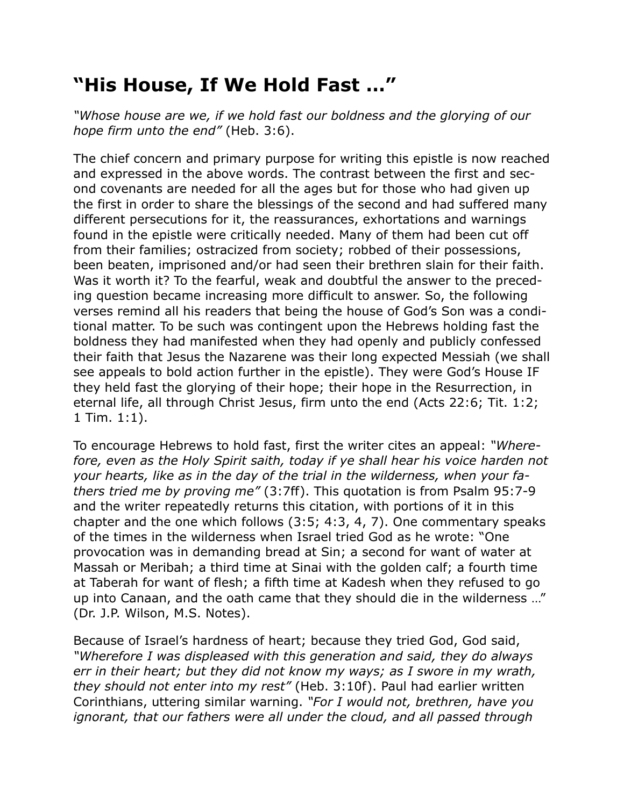## **"His House, If We Hold Fast …"**

*"Whose house are we, if we hold fast our boldness and the glorying of our hope firm unto the end"* (Heb. 3:6).

The chief concern and primary purpose for writing this epistle is now reached and expressed in the above words. The contrast between the first and second covenants are needed for all the ages but for those who had given up the first in order to share the blessings of the second and had suffered many different persecutions for it, the reassurances, exhortations and warnings found in the epistle were critically needed. Many of them had been cut off from their families; ostracized from society; robbed of their possessions, been beaten, imprisoned and/or had seen their brethren slain for their faith. Was it worth it? To the fearful, weak and doubtful the answer to the preceding question became increasing more difficult to answer. So, the following verses remind all his readers that being the house of God's Son was a conditional matter. To be such was contingent upon the Hebrews holding fast the boldness they had manifested when they had openly and publicly confessed their faith that Jesus the Nazarene was their long expected Messiah (we shall see appeals to bold action further in the epistle). They were God's House IF they held fast the glorying of their hope; their hope in the Resurrection, in eternal life, all through Christ Jesus, firm unto the end (Acts 22:6; Tit. 1:2; 1 Tim. 1:1).

To encourage Hebrews to hold fast, first the writer cites an appeal: *"Wherefore, even as the Holy Spirit saith, today if ye shall hear his voice harden not your hearts, like as in the day of the trial in the wilderness, when your fathers tried me by proving me"* (3:7ff). This quotation is from Psalm 95:7-9 and the writer repeatedly returns this citation, with portions of it in this chapter and the one which follows (3:5; 4:3, 4, 7). One commentary speaks of the times in the wilderness when Israel tried God as he wrote: "One provocation was in demanding bread at Sin; a second for want of water at Massah or Meribah; a third time at Sinai with the golden calf; a fourth time at Taberah for want of flesh; a fifth time at Kadesh when they refused to go up into Canaan, and the oath came that they should die in the wilderness …" (Dr. J.P. Wilson, M.S. Notes).

Because of Israel's hardness of heart; because they tried God, God said, *"Wherefore I was displeased with this generation and said, they do always err in their heart; but they did not know my ways; as I swore in my wrath, they should not enter into my rest"* (Heb. 3:10f). Paul had earlier written Corinthians, uttering similar warning. *"For I would not, brethren, have you ignorant, that our fathers were all under the cloud, and all passed through*